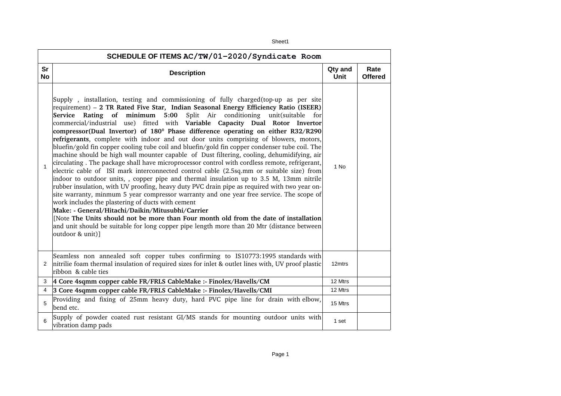| SCHEDULE OF ITEMS AC/TW/01-2020/Syndicate Room |                                                                                                                                                                                                                                                                                                                                                                                                                                                                                                                                                                                                                                                                                                                                                                                                                                                                                                                                                                                                                                                                                                                                                                                                                                                                                                                                                                                                                                                                                                                                          |                        |                        |  |  |
|------------------------------------------------|------------------------------------------------------------------------------------------------------------------------------------------------------------------------------------------------------------------------------------------------------------------------------------------------------------------------------------------------------------------------------------------------------------------------------------------------------------------------------------------------------------------------------------------------------------------------------------------------------------------------------------------------------------------------------------------------------------------------------------------------------------------------------------------------------------------------------------------------------------------------------------------------------------------------------------------------------------------------------------------------------------------------------------------------------------------------------------------------------------------------------------------------------------------------------------------------------------------------------------------------------------------------------------------------------------------------------------------------------------------------------------------------------------------------------------------------------------------------------------------------------------------------------------------|------------------------|------------------------|--|--|
| Sr<br>No                                       | <b>Description</b>                                                                                                                                                                                                                                                                                                                                                                                                                                                                                                                                                                                                                                                                                                                                                                                                                                                                                                                                                                                                                                                                                                                                                                                                                                                                                                                                                                                                                                                                                                                       | Qty and<br><b>Unit</b> | Rate<br><b>Offered</b> |  |  |
| $\mathbf{1}$                                   | Supply, installation, testing and commissioning of fully charged (top-up as per site<br>requirement) - 2 TR Rated Five Star, Indian Seasonal Energy Efficiency Ratio (ISEER)<br>Split Air conditioning unit(suitable for<br>Service Rating of minimum 5:00<br>commercial/industrial use) fitted with Variable Capacity Dual Rotor Invertor<br>compressor(Dual Invertor) of 180 <sup>°</sup> Phase difference operating on either R32/R290<br>refrigerants, complete with indoor and out door units comprising of blowers, motors,<br>bluefin/gold fin copper cooling tube coil and bluefin/gold fin copper condenser tube coil. The<br>machine should be high wall mounter capable of Dust filtering, cooling, dehumidifying, air<br>circulating. The package shall have microprocessor control with cordless remote, refrigerant,<br>electric cable of ISI mark interconnected control cable (2.5sq.mm or suitable size) from<br>indoor to outdoor units, , copper pipe and thermal insulation up to 3.5 M, 13mm nitrile<br>rubber insulation, with UV proofing, heavy duty PVC drain pipe as required with two year on-<br>site warranty, minmum 5 year compressor warranty and one year free service. The scope of<br>work includes the plastering of ducts with cement<br>Make: - General/Hitachi/Daikin/Mitusubhi/Carrier<br>[Note The Units should not be more than Four month old from the date of installation<br>and unit should be suitable for long copper pipe length more than 20 Mtr (distance between<br>outdoor & unit)] | 1 No                   |                        |  |  |
| $\mathbf{2}$                                   | Seamless non annealed soft copper tubes confirming to IS10773:1995 standards with<br>nitrilie foam thermal insulation of required sizes for inlet & outlet lines with, UV proof plastic<br>ribbon & cable ties                                                                                                                                                                                                                                                                                                                                                                                                                                                                                                                                                                                                                                                                                                                                                                                                                                                                                                                                                                                                                                                                                                                                                                                                                                                                                                                           | 12mtrs                 |                        |  |  |
| 3                                              | 4 Core 4sqmm copper cable FR/FRLS CableMake :- Finolex/Havells/CM                                                                                                                                                                                                                                                                                                                                                                                                                                                                                                                                                                                                                                                                                                                                                                                                                                                                                                                                                                                                                                                                                                                                                                                                                                                                                                                                                                                                                                                                        | 12 Mtrs                |                        |  |  |
| 4                                              | 3 Core 4sqmm copper cable FR/FRLS CableMake :- Finolex/Havells/CMI                                                                                                                                                                                                                                                                                                                                                                                                                                                                                                                                                                                                                                                                                                                                                                                                                                                                                                                                                                                                                                                                                                                                                                                                                                                                                                                                                                                                                                                                       | 12 Mtrs                |                        |  |  |
| 5                                              | Providing and fixing of 25mm heavy duty, hard PVC pipe line for drain with elbow,<br>bend etc.                                                                                                                                                                                                                                                                                                                                                                                                                                                                                                                                                                                                                                                                                                                                                                                                                                                                                                                                                                                                                                                                                                                                                                                                                                                                                                                                                                                                                                           | 15 Mtrs                |                        |  |  |
| 6                                              | Supply of powder coated rust resistant GI/MS stands for mounting outdoor units with<br>vibration damp pads                                                                                                                                                                                                                                                                                                                                                                                                                                                                                                                                                                                                                                                                                                                                                                                                                                                                                                                                                                                                                                                                                                                                                                                                                                                                                                                                                                                                                               | 1 set                  |                        |  |  |